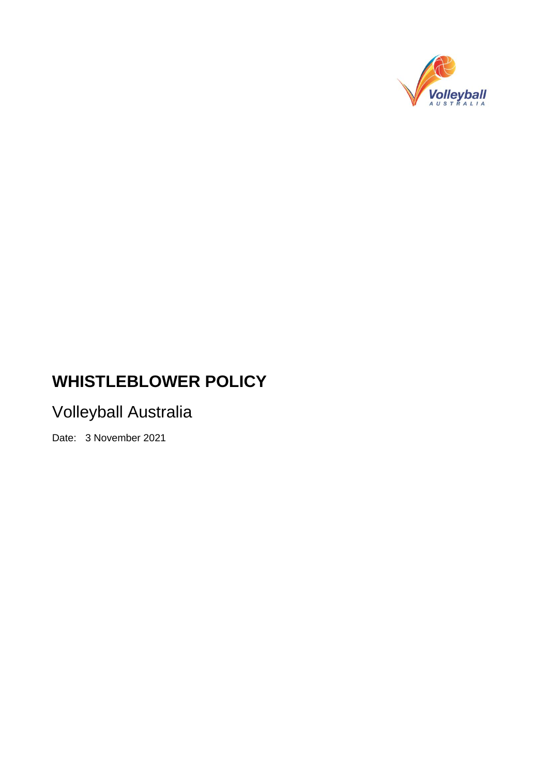

# **WHISTLEBLOWER POLICY**

# Volleyball Australia

Date: 3 November 2021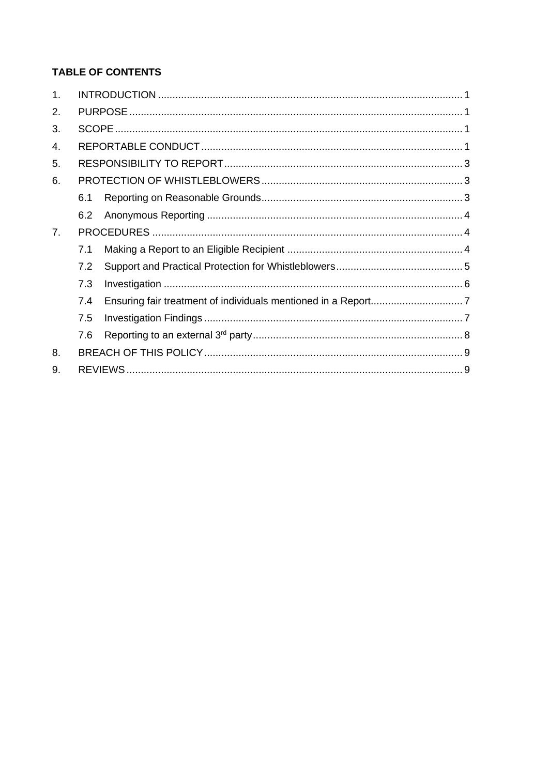# **TABLE OF CONTENTS**

| 1.             |     |  |  |
|----------------|-----|--|--|
| 2.             |     |  |  |
| 3.             |     |  |  |
| $\mathbf{4}$ . |     |  |  |
| 5.             |     |  |  |
| 6.             |     |  |  |
|                | 6.1 |  |  |
|                | 6.2 |  |  |
| 7 <sub>1</sub> |     |  |  |
|                | 7.1 |  |  |
|                | 7.2 |  |  |
|                | 7.3 |  |  |
|                | 7.4 |  |  |
|                | 7.5 |  |  |
|                | 7.6 |  |  |
| 8.             |     |  |  |
| 9.             |     |  |  |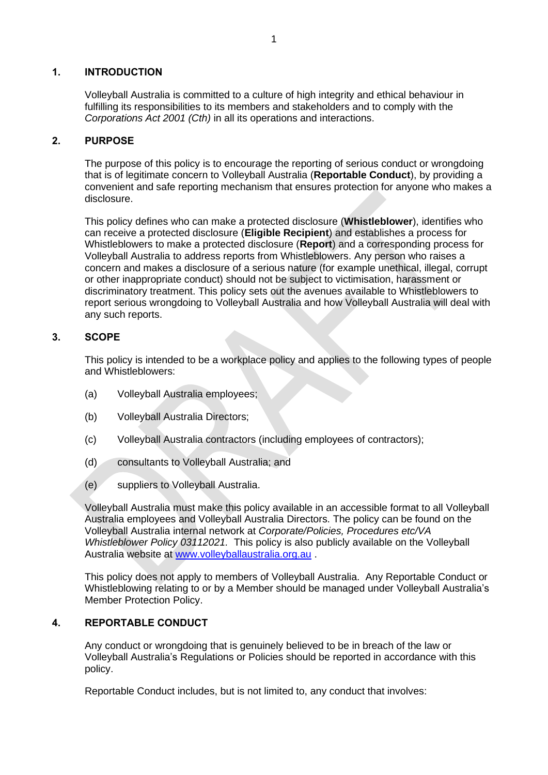#### **1. INTRODUCTION**

Volleyball Australia is committed to a culture of high integrity and ethical behaviour in fulfilling its responsibilities to its members and stakeholders and to comply with the *Corporations Act 2001 (Cth)* in all its operations and interactions.

#### **2. PURPOSE**

The purpose of this policy is to encourage the reporting of serious conduct or wrongdoing that is of legitimate concern to Volleyball Australia (**Reportable Conduct**), by providing a convenient and safe reporting mechanism that ensures protection for anyone who makes a disclosure.

This policy defines who can make a protected disclosure (**Whistleblower**), identifies who can receive a protected disclosure (**Eligible Recipient**) and establishes a process for Whistleblowers to make a protected disclosure (**Report**) and a corresponding process for Volleyball Australia to address reports from Whistleblowers. Any person who raises a concern and makes a disclosure of a serious nature (for example unethical, illegal, corrupt or other inappropriate conduct) should not be subject to victimisation, harassment or discriminatory treatment. This policy sets out the avenues available to Whistleblowers to report serious wrongdoing to Volleyball Australia and how Volleyball Australia will deal with any such reports.

# **3. SCOPE**

This policy is intended to be a workplace policy and applies to the following types of people and Whistleblowers:

- (a) Volleyball Australia employees;
- (b) Volleyball Australia Directors;
- (c) Volleyball Australia contractors (including employees of contractors);
- (d) consultants to Volleyball Australia; and
- (e) suppliers to Volleyball Australia.

Volleyball Australia must make this policy available in an accessible format to all Volleyball Australia employees and Volleyball Australia Directors. The policy can be found on the Volleyball Australia internal network at *Corporate/Policies, Procedures etc/VA Whistleblower Policy 03112021.* This policy is also publicly available on the Volleyball Australia website at [www.volleyballaustralia.org.au](http://www.volleyballaustralia.org.au/) .

This policy does not apply to members of Volleyball Australia. Any Reportable Conduct or Whistleblowing relating to or by a Member should be managed under Volleyball Australia's Member Protection Policy.

# **4. REPORTABLE CONDUCT**

Any conduct or wrongdoing that is genuinely believed to be in breach of the law or Volleyball Australia's Regulations or Policies should be reported in accordance with this policy.

Reportable Conduct includes, but is not limited to, any conduct that involves: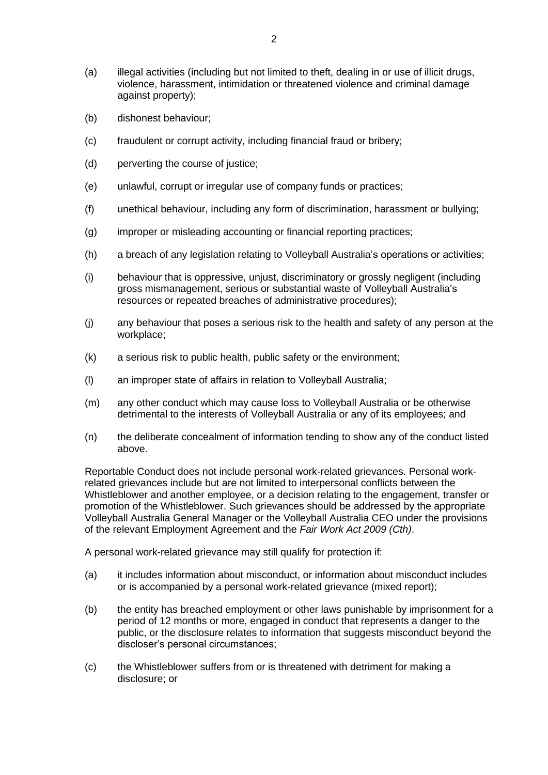- (a) illegal activities (including but not limited to theft, dealing in or use of illicit drugs, violence, harassment, intimidation or threatened violence and criminal damage against property);
- (b) dishonest behaviour;
- (c) fraudulent or corrupt activity, including financial fraud or bribery;
- (d) perverting the course of justice;
- (e) unlawful, corrupt or irregular use of company funds or practices;
- (f) unethical behaviour, including any form of discrimination, harassment or bullying;
- (g) improper or misleading accounting or financial reporting practices;
- (h) a breach of any legislation relating to Volleyball Australia's operations or activities;
- (i) behaviour that is oppressive, unjust, discriminatory or grossly negligent (including gross mismanagement, serious or substantial waste of Volleyball Australia's resources or repeated breaches of administrative procedures);
- (j) any behaviour that poses a serious risk to the health and safety of any person at the workplace;
- (k) a serious risk to public health, public safety or the environment;
- (l) an improper state of affairs in relation to Volleyball Australia;
- (m) any other conduct which may cause loss to Volleyball Australia or be otherwise detrimental to the interests of Volleyball Australia or any of its employees; and
- (n) the deliberate concealment of information tending to show any of the conduct listed above.

Reportable Conduct does not include personal work-related grievances. Personal workrelated grievances include but are not limited to interpersonal conflicts between the Whistleblower and another employee, or a decision relating to the engagement, transfer or promotion of the Whistleblower. Such grievances should be addressed by the appropriate Volleyball Australia General Manager or the Volleyball Australia CEO under the provisions of the relevant Employment Agreement and the *Fair Work Act 2009 (Cth)*.

A personal work-related grievance may still qualify for protection if:

- (a) it includes information about misconduct, or information about misconduct includes or is accompanied by a personal work-related grievance (mixed report);
- (b) the entity has breached employment or other laws punishable by imprisonment for a period of 12 months or more, engaged in conduct that represents a danger to the public, or the disclosure relates to information that suggests misconduct beyond the discloser's personal circumstances;
- (c) the Whistleblower suffers from or is threatened with detriment for making a disclosure; or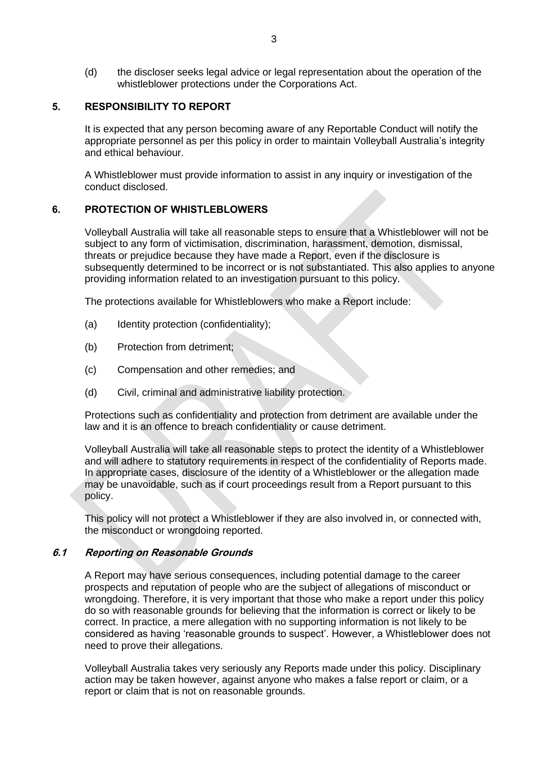(d) the discloser seeks legal advice or legal representation about the operation of the whistleblower protections under the Corporations Act.

#### **5. RESPONSIBILITY TO REPORT**

It is expected that any person becoming aware of any Reportable Conduct will notify the appropriate personnel as per this policy in order to maintain Volleyball Australia's integrity and ethical behaviour.

A Whistleblower must provide information to assist in any inquiry or investigation of the conduct disclosed.

#### **6. PROTECTION OF WHISTLEBLOWERS**

Volleyball Australia will take all reasonable steps to ensure that a Whistleblower will not be subject to any form of victimisation, discrimination, harassment, demotion, dismissal, threats or prejudice because they have made a Report, even if the disclosure is subsequently determined to be incorrect or is not substantiated. This also applies to anyone providing information related to an investigation pursuant to this policy.

The protections available for Whistleblowers who make a Report include:

- (a) Identity protection (confidentiality);
- (b) Protection from detriment;
- (c) Compensation and other remedies; and
- (d) Civil, criminal and administrative liability protection.

Protections such as confidentiality and protection from detriment are available under the law and it is an offence to breach confidentiality or cause detriment.

Volleyball Australia will take all reasonable steps to protect the identity of a Whistleblower and will adhere to statutory requirements in respect of the confidentiality of Reports made. In appropriate cases, disclosure of the identity of a Whistleblower or the allegation made may be unavoidable, such as if court proceedings result from a Report pursuant to this policy.

This policy will not protect a Whistleblower if they are also involved in, or connected with, the misconduct or wrongdoing reported.

#### **6.1 Reporting on Reasonable Grounds**

A Report may have serious consequences, including potential damage to the career prospects and reputation of people who are the subject of allegations of misconduct or wrongdoing. Therefore, it is very important that those who make a report under this policy do so with reasonable grounds for believing that the information is correct or likely to be correct. In practice, a mere allegation with no supporting information is not likely to be considered as having 'reasonable grounds to suspect'. However, a Whistleblower does not need to prove their allegations.

Volleyball Australia takes very seriously any Reports made under this policy. Disciplinary action may be taken however, against anyone who makes a false report or claim, or a report or claim that is not on reasonable grounds.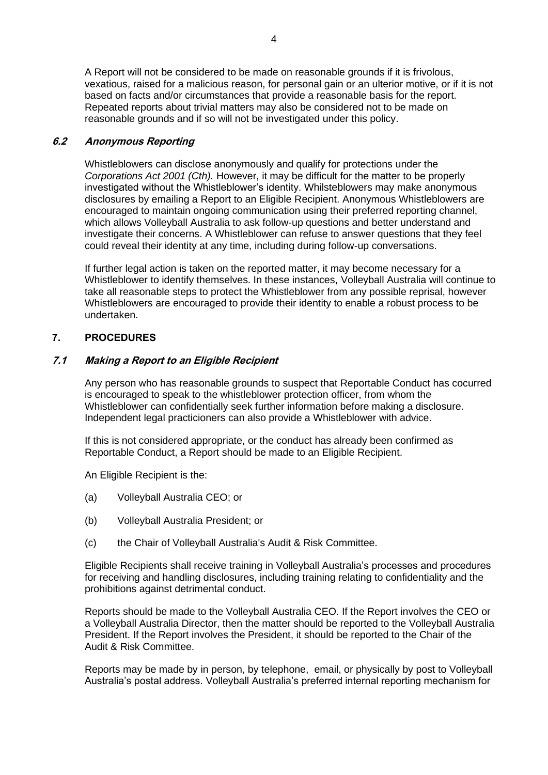A Report will not be considered to be made on reasonable grounds if it is frivolous, vexatious, raised for a malicious reason, for personal gain or an ulterior motive, or if it is not based on facts and/or circumstances that provide a reasonable basis for the report. Repeated reports about trivial matters may also be considered not to be made on reasonable grounds and if so will not be investigated under this policy.

# **6.2 Anonymous Reporting**

Whistleblowers can disclose anonymously and qualify for protections under the *Corporations Act 2001 (Cth).* However, it may be difficult for the matter to be properly investigated without the Whistleblower's identity. Whilsteblowers may make anonymous disclosures by emailing a Report to an Eligible Recipient. Anonymous Whistleblowers are encouraged to maintain ongoing communication using their preferred reporting channel, which allows Volleyball Australia to ask follow-up questions and better understand and investigate their concerns. A Whistleblower can refuse to answer questions that they feel could reveal their identity at any time, including during follow-up conversations.

If further legal action is taken on the reported matter, it may become necessary for a Whistleblower to identify themselves. In these instances, Volleyball Australia will continue to take all reasonable steps to protect the Whistleblower from any possible reprisal, however Whistleblowers are encouraged to provide their identity to enable a robust process to be undertaken.

# **7. PROCEDURES**

#### **7.1 Making a Report to an Eligible Recipient**

Any person who has reasonable grounds to suspect that Reportable Conduct has cocurred is encouraged to speak to the whistleblower protection officer, from whom the Whistleblower can confidentially seek further information before making a disclosure. Independent legal practicioners can also provide a Whistleblower with advice.

If this is not considered appropriate, or the conduct has already been confirmed as Reportable Conduct, a Report should be made to an Eligible Recipient.

An Eligible Recipient is the:

- (a) Volleyball Australia CEO; or
- (b) Volleyball Australia President; or
- (c) the Chair of Volleyball Australia's Audit & Risk Committee.

Eligible Recipients shall receive training in Volleyball Australia's processes and procedures for receiving and handling disclosures, including training relating to confidentiality and the prohibitions against detrimental conduct.

Reports should be made to the Volleyball Australia CEO. If the Report involves the CEO or a Volleyball Australia Director, then the matter should be reported to the Volleyball Australia President. If the Report involves the President, it should be reported to the Chair of the Audit & Risk Committee.

Reports may be made by in person, by telephone, email, or physically by post to Volleyball Australia's postal address. Volleyball Australia's preferred internal reporting mechanism for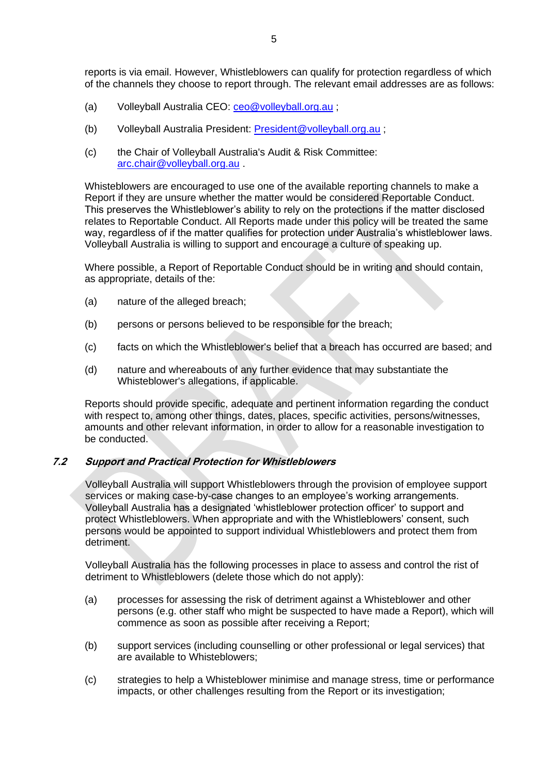- (a) Volleyball Australia CEO: [ceo@volleyball.org.au](mailto:ceo@volleyball.org.au);
- (b) Volleyball Australia President: [President@volleyball.org.au](mailto:President@volleyball.org.au) ;
- (c) the Chair of Volleyball Australia's Audit & Risk Committee: [arc.chair@volleyball.org.au](mailto:arc.chair@volleyball.org.au) .

Whisteblowers are encouraged to use one of the available reporting channels to make a Report if they are unsure whether the matter would be considered Reportable Conduct. This preserves the Whistleblower's ability to rely on the protections if the matter disclosed relates to Reportable Conduct. All Reports made under this policy will be treated the same way, regardless of if the matter qualifies for protection under Australia's whistleblower laws. Volleyball Australia is willing to support and encourage a culture of speaking up.

Where possible, a Report of Reportable Conduct should be in writing and should contain, as appropriate, details of the:

- (a) nature of the alleged breach;
- (b) persons or persons believed to be responsible for the breach;
- (c) facts on which the Whistleblower's belief that a breach has occurred are based; and
- (d) nature and whereabouts of any further evidence that may substantiate the Whisteblower's allegations, if applicable.

Reports should provide specific, adequate and pertinent information regarding the conduct with respect to, among other things, dates, places, specific activities, persons/witnesses, amounts and other relevant information, in order to allow for a reasonable investigation to be conducted.

# **7.2 Support and Practical Protection for Whistleblowers**

Volleyball Australia will support Whistleblowers through the provision of employee support services or making case-by-case changes to an employee's working arrangements. Volleyball Australia has a designated 'whistleblower protection officer' to support and protect Whistleblowers. When appropriate and with the Whistleblowers' consent, such persons would be appointed to support individual Whistleblowers and protect them from detriment.

Volleyball Australia has the following processes in place to assess and control the rist of detriment to Whistleblowers (delete those which do not apply):

- (a) processes for assessing the risk of detriment against a Whisteblower and other persons (e.g. other staff who might be suspected to have made a Report), which will commence as soon as possible after receiving a Report;
- (b) support services (including counselling or other professional or legal services) that are available to Whisteblowers;
- (c) strategies to help a Whisteblower minimise and manage stress, time or performance impacts, or other challenges resulting from the Report or its investigation;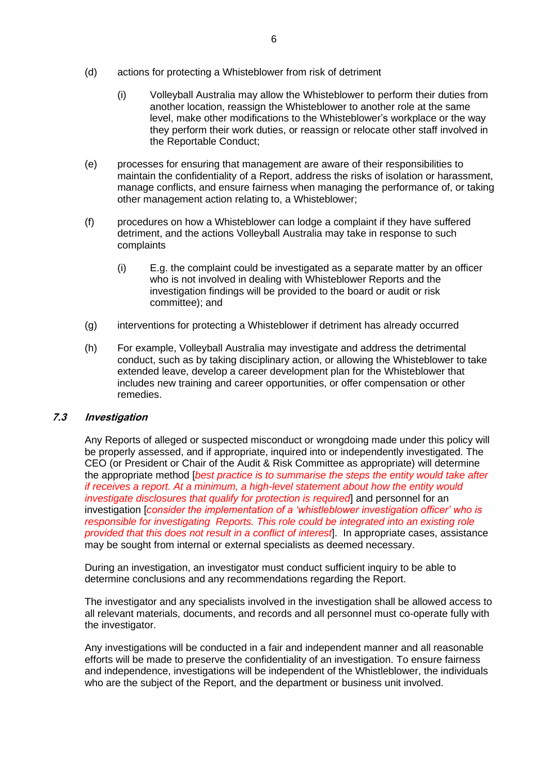- (d) actions for protecting a Whisteblower from risk of detriment
	- (i) Volleyball Australia may allow the Whisteblower to perform their duties from another location, reassign the Whisteblower to another role at the same level, make other modifications to the Whisteblower's workplace or the way they perform their work duties, or reassign or relocate other staff involved in the Reportable Conduct;
- (e) processes for ensuring that management are aware of their responsibilities to maintain the confidentiality of a Report, address the risks of isolation or harassment, manage conflicts, and ensure fairness when managing the performance of, or taking other management action relating to, a Whisteblower;
- (f) procedures on how a Whisteblower can lodge a complaint if they have suffered detriment, and the actions Volleyball Australia may take in response to such complaints
	- (i) E.g. the complaint could be investigated as a separate matter by an officer who is not involved in dealing with Whisteblower Reports and the investigation findings will be provided to the board or audit or risk committee); and
- (g) interventions for protecting a Whisteblower if detriment has already occurred
- (h) For example, Volleyball Australia may investigate and address the detrimental conduct, such as by taking disciplinary action, or allowing the Whisteblower to take extended leave, develop a career development plan for the Whisteblower that includes new training and career opportunities, or offer compensation or other remedies.

# **7.3 Investigation**

Any Reports of alleged or suspected misconduct or wrongdoing made under this policy will be properly assessed, and if appropriate, inquired into or independently investigated. The CEO (or President or Chair of the Audit & Risk Committee as appropriate) will determine the appropriate method [*best practice is to summarise the steps the entity would take after if receives a report. At a minimum, a high-level statement about how the entity would investigate disclosures that qualify for protection is required* and personnel for an investigation [*consider the implementation of a 'whistleblower investigation officer' who is responsible for investigating Reports. This role could be integrated into an existing role provided that this does not result in a conflict of interest*]. In appropriate cases, assistance may be sought from internal or external specialists as deemed necessary.

During an investigation, an investigator must conduct sufficient inquiry to be able to determine conclusions and any recommendations regarding the Report.

The investigator and any specialists involved in the investigation shall be allowed access to all relevant materials, documents, and records and all personnel must co-operate fully with the investigator.

Any investigations will be conducted in a fair and independent manner and all reasonable efforts will be made to preserve the confidentiality of an investigation. To ensure fairness and independence, investigations will be independent of the Whistleblower, the individuals who are the subject of the Report, and the department or business unit involved.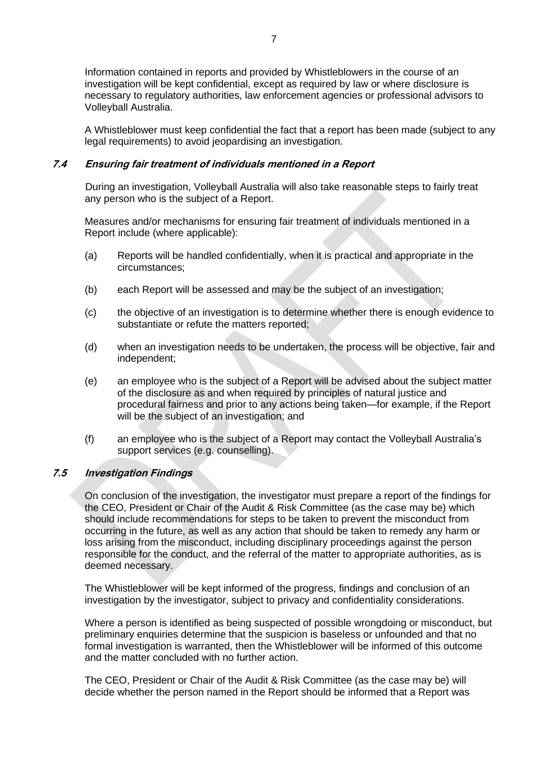Information contained in reports and provided by Whistleblowers in the course of an investigation will be kept confidential, except as required by law or where disclosure is necessary to regulatory authorities, law enforcement agencies or professional advisors to Volleyball Australia.

A Whistleblower must keep confidential the fact that a report has been made (subject to any legal requirements) to avoid jeopardising an investigation.

#### **7.4 Ensuring fair treatment of individuals mentioned in a Report**

During an investigation, Volleyball Australia will also take reasonable steps to fairly treat any person who is the subject of a Report.

Measures and/or mechanisms for ensuring fair treatment of individuals mentioned in a Report include (where applicable):

- (a) Reports will be handled confidentially, when it is practical and appropriate in the circumstances;
- (b) each Report will be assessed and may be the subject of an investigation;
- (c) the objective of an investigation is to determine whether there is enough evidence to substantiate or refute the matters reported;
- (d) when an investigation needs to be undertaken, the process will be objective, fair and independent;
- (e) an employee who is the subject of a Report will be advised about the subject matter of the disclosure as and when required by principles of natural justice and procedural fairness and prior to any actions being taken—for example, if the Report will be the subject of an investigation; and
- (f) an employee who is the subject of a Report may contact the Volleyball Australia's support services (e.g. counselling).

# **7.5 Investigation Findings**

On conclusion of the investigation, the investigator must prepare a report of the findings for the CEO, President or Chair of the Audit & Risk Committee (as the case may be) which should include recommendations for steps to be taken to prevent the misconduct from occurring in the future, as well as any action that should be taken to remedy any harm or loss arising from the misconduct, including disciplinary proceedings against the person responsible for the conduct, and the referral of the matter to appropriate authorities, as is deemed necessary.

The Whistleblower will be kept informed of the progress, findings and conclusion of an investigation by the investigator, subject to privacy and confidentiality considerations.

Where a person is identified as being suspected of possible wrongdoing or misconduct, but preliminary enquiries determine that the suspicion is baseless or unfounded and that no formal investigation is warranted, then the Whistleblower will be informed of this outcome and the matter concluded with no further action.

The CEO, President or Chair of the Audit & Risk Committee (as the case may be) will decide whether the person named in the Report should be informed that a Report was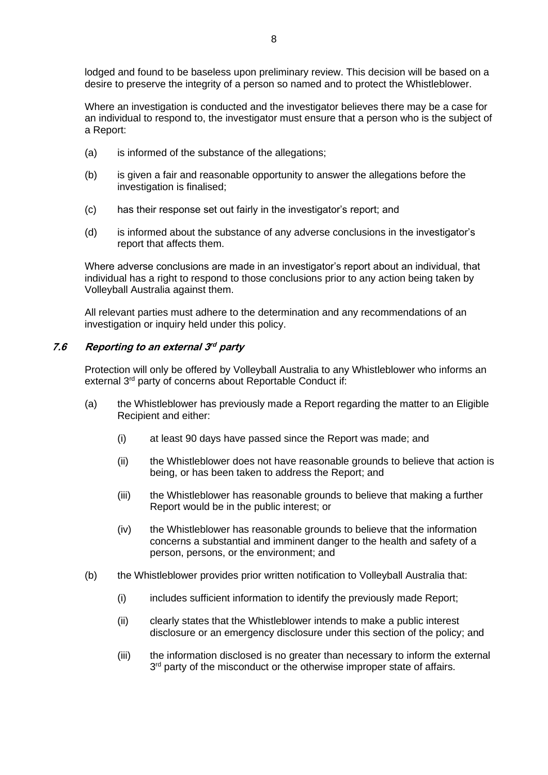lodged and found to be baseless upon preliminary review. This decision will be based on a desire to preserve the integrity of a person so named and to protect the Whistleblower.

Where an investigation is conducted and the investigator believes there may be a case for an individual to respond to, the investigator must ensure that a person who is the subject of a Report:

- (a) is informed of the substance of the allegations;
- (b) is given a fair and reasonable opportunity to answer the allegations before the investigation is finalised;
- (c) has their response set out fairly in the investigator's report; and
- (d) is informed about the substance of any adverse conclusions in the investigator's report that affects them.

Where adverse conclusions are made in an investigator's report about an individual, that individual has a right to respond to those conclusions prior to any action being taken by Volleyball Australia against them.

All relevant parties must adhere to the determination and any recommendations of an investigation or inquiry held under this policy.

# **7.6 Reporting to an external 3 rd party**

Protection will only be offered by Volleyball Australia to any Whistleblower who informs an external 3<sup>rd</sup> party of concerns about Reportable Conduct if:

- (a) the Whistleblower has previously made a Report regarding the matter to an Eligible Recipient and either:
	- (i) at least 90 days have passed since the Report was made; and
	- (ii) the Whistleblower does not have reasonable grounds to believe that action is being, or has been taken to address the Report; and
	- (iii) the Whistleblower has reasonable grounds to believe that making a further Report would be in the public interest; or
	- (iv) the Whistleblower has reasonable grounds to believe that the information concerns a substantial and imminent danger to the health and safety of a person, persons, or the environment; and
- (b) the Whistleblower provides prior written notification to Volleyball Australia that:
	- (i) includes sufficient information to identify the previously made Report;
	- (ii) clearly states that the Whistleblower intends to make a public interest disclosure or an emergency disclosure under this section of the policy; and
	- (iii) the information disclosed is no greater than necessary to inform the external 3<sup>rd</sup> party of the misconduct or the otherwise improper state of affairs.